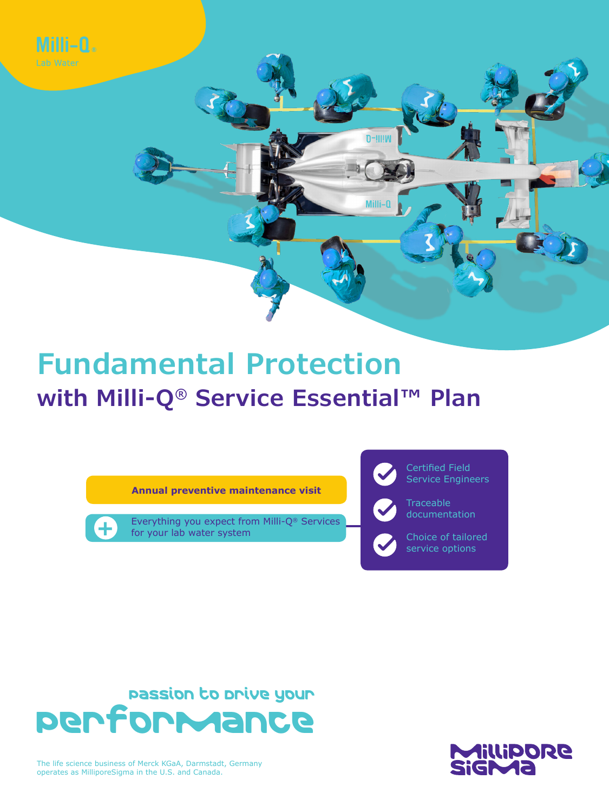

# **Fundamental Protection with Milli-Q® Service Essential™ Plan**

**Annual preventive maintenance visit**

**+** Everything you expect from Milli-Q® Services<br>for your lab water system for your lab water system



Passion to Drive your Performance



The life science business of Merck KGaA, Darmstadt, Germany operates as MilliporeSigma in the U.S. and Canada.